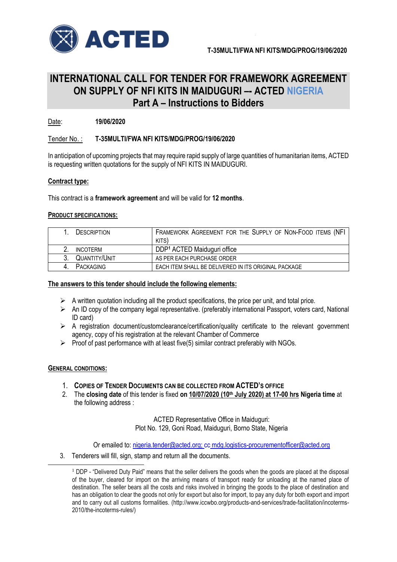

## **INTERNATIONAL CALL FOR TENDER FOR FRAMEWORK AGREEMENT ON SUPPLY OF NFI KITS IN MAIDUGURI –- ACTED NIGERIA Part A – Instructions to Bidders**

Date: **19/06/2020**

## Tender No. : **T-35MULTI/FWA NFI KITS/MDG/PROG/19/06/2020**

In anticipation of upcoming projects that may require rapid supply of large quantities of humanitarian items, ACTED is requesting written quotations for the supply of NFI KITS IN MAIDUGURI.

### **Contract type:**

This contract is a **framework agreement** and will be valid for **12 months**.

#### **PRODUCT SPECIFICATIONS:**

| DESCRIPTION     | FRAMEWORK AGREEMENT FOR THE SUPPLY OF NON-FOOD ITEMS (NFI |
|-----------------|-----------------------------------------------------------|
|                 | KITS)                                                     |
| <b>INCOTERM</b> | DDP <sup>1</sup> ACTED Maiduguri office                   |
| QUANTITY/UNIT   | AS PER EACH PURCHASE ORDER                                |
| PACKAGING       | EACH ITEM SHALL BE DELIVERED IN ITS ORIGINAL PACKAGE      |

#### **The answers to this tender should include the following elements:**

- $\triangleright$  A written quotation including all the product specifications, the price per unit, and total price.
- $\triangleright$  An ID copy of the company legal representative. (preferably international Passport, voters card, National ID card)
- $\triangleright$  A registration document/customclearance/certification/quality certificate to the relevant government agency, copy of his registration at the relevant Chamber of Commerce
- $\triangleright$  Proof of past performance with at least five(5) similar contract preferably with NGOs.

### **GENERAL CONDITIONS:**

-

- 1. **COPIES OF TENDER DOCUMENTS CAN BE COLLECTED FROM ACTED'S OFFICE**
- 2. The **closing date** of this tender is fixed **on 10/07/2020 (10th July 2020) at 17-00 hrs Nigeria time** at the following address :

ACTED Representative Office in Maiduguri: Plot No. 129, Goni Road, Maiduguri, Borno State, Nigeria

Or emailed to: [nigeria.tender@acted.org;](mailto:nigeria.tender@acted.org) cc [mdg.logistics-procurementofficer@acted.org](mailto:noman.ashraf@acted.org)

3. Tenderers will fill, sign, stamp and return all the documents.

<sup>&</sup>lt;sup>1</sup> DDP - "Delivered Duty Paid" means that the seller delivers the goods when the goods are placed at the disposal of the buyer, cleared for import on the arriving means of transport ready for unloading at the named place of destination. The seller bears all the costs and risks involved in bringing the goods to the place of destination and has an obligation to clear the goods not only for export but also for import, to pay any duty for both export and import and to carry out all customs formalities. (http://www.iccwbo.org/products-and-services/trade-facilitation/incoterms-2010/the-incoterms-rules/)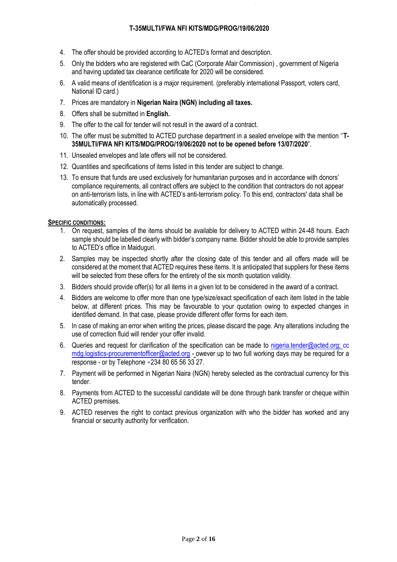- 4. The offer should be provided according to ACTED's format and description.
- 5. Only the bidders who are registered with CaC (Corporate Afair Commission) , government of Nigeria and having updated tax clearance certificate for 2020 will be considered.
- 6. A valid means of identification is a major requirement. (preferably international Passport, voters card, National ID card.)
- 7. Prices are mandatory in **Nigerian Naira (NGN) including all taxes.**
- 8. Offers shall be submitted in **English.**
- 9. The offer to the call for tender will not result in the award of a contract.
- 10. The offer must be submitted to ACTED purchase department in a sealed envelope with the mention ''**T-35MULTI/FWA NFI KITS/MDG/PROG/19/06/2020 not to be opened before 13/07/2020**".
- 11. Unsealed envelopes and late offers will not be considered.
- 12. Quantities and specifications of items listed in this tender are subject to change.
- 13. To ensure that funds are used exclusively for humanitarian purposes and in accordance with donors' compliance requirements, all contract offers are subject to the condition that contractors do not appear on anti-terrorism lists, in line with ACTED's anti-terrorism policy. To this end, contractors' data shall be automatically processed.

## **SPECIFIC CONDITIONS:**

- 1. On request, samples of the items should be available for delivery to ACTED within 24-48 hours. Each sample should be labelled clearly with bidder's company name. Bidder should be able to provide samples to ACTED's office in Maiduguri.
- 2. Samples may be inspected shortly after the closing date of this tender and all offers made will be considered at the moment that ACTED requires these items. It is anticipated that suppliers for these items will be selected from these offers for the entirety of the six month quotation validity.
- 3. Bidders should provide offer(s) for all items in a given lot to be considered in the award of a contract.
- 4. Bidders are welcome to offer more than one type/size/exact specification of each item listed in the table below, at different prices. This may be favourable to your quotation owing to expected changes in identified demand. In that case, please provide different offer forms for each item.
- 5. In case of making an error when writing the prices, please discard the page. Any alterations including the use of correction fluid will render your offer invalid.
- 6. Queries and request for clarification of the specification can be made to [nigeria.tender@acted.org;](mailto:nigeria.tender@acted.org) cc [mdg.logistics-procurementofficer@acted.org](mailto:noman.ashraf@acted.org) - owever up to two full working days may be required for a response - or by Telephone +234 80 65 56 33 27.
- 7. Payment will be performed in Nigerian Naira (NGN) hereby selected as the contractual currency for this tender.
- 8. Payments from ACTED to the successful candidate will be done through bank transfer or cheque within ACTED premises.
- 9. ACTED reserves the right to contact previous organization with who the bidder has worked and any financial or security authority for verification.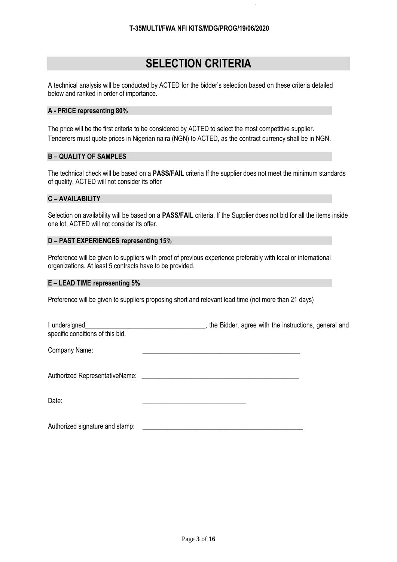## **SELECTION CRITERIA**

A technical analysis will be conducted by ACTED for the bidder's selection based on these criteria detailed below and ranked in order of importance.

### **A - PRICE representing 80%**

The price will be the first criteria to be considered by ACTED to select the most competitive supplier. Tenderers must quote prices in Nigerian naira (NGN) to ACTED, as the contract currency shall be in NGN.

## **B – QUALITY OF SAMPLES**

The technical check will be based on a **PASS/FAIL** criteria If the supplier does not meet the minimum standards of quality, ACTED will not consider its offer

## **C – AVAILABILITY**

Selection on availability will be based on a **PASS/FAIL** criteria. If the Supplier does not bid for all the items inside one lot, ACTED will not consider its offer.

### **D – PAST EXPERIENCES representing 15%**

Preference will be given to suppliers with proof of previous experience preferably with local or international organizations. At least 5 contracts have to be provided.

## **E – LEAD TIME representing 5%**

Preference will be given to suppliers proposing short and relevant lead time (not more than 21 days)

| I undersigned_<br>specific conditions of this bid. | the Bidder, agree with the instructions, general and |  |
|----------------------------------------------------|------------------------------------------------------|--|
| Company Name:                                      |                                                      |  |
|                                                    |                                                      |  |
| Date:                                              |                                                      |  |

Authorized signature and stamp: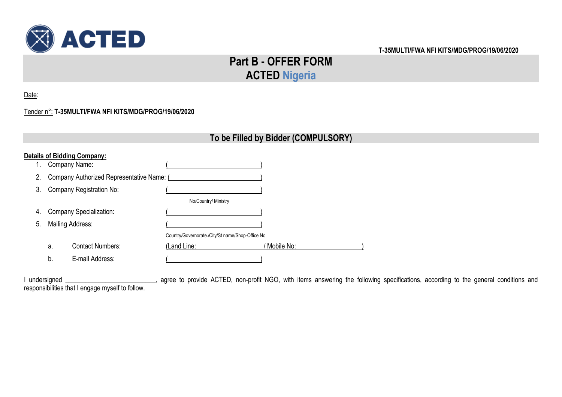

# **Part B - OFFER FORM ACTED Nigeria**

Date:

## Tender n°: **T-35MULTI/FWA NFI KITS/MDG/PROG/19/06/2020**

## **To be Filled by Bidder (COMPULSORY)**

|    |                  | <b>Details of Bidding Company:</b>        |                                                  |              |
|----|------------------|-------------------------------------------|--------------------------------------------------|--------------|
| 1. |                  | Company Name:                             |                                                  |              |
| 2. |                  | Company Authorized Representative Name: ( |                                                  |              |
| 3. |                  | Company Registration No:                  |                                                  |              |
|    |                  |                                           | No/Country/ Ministry                             |              |
| 4. |                  | <b>Company Specialization:</b>            |                                                  |              |
| 5. | Mailing Address: |                                           |                                                  |              |
|    |                  |                                           | Country/Governorate./City/St name/Shop-Office No |              |
|    | a.               | <b>Contact Numbers:</b>                   | (Land Line:                                      | ' Mobile No: |
|    | b.               | E-mail Address:                           |                                                  |              |

I undersigned \_\_\_\_\_\_\_\_\_\_\_\_\_\_\_\_\_\_\_\_\_\_\_\_\_, agree to provide ACTED, non-profit NGO, with items answering the following specifications, according to the general conditions and responsibilities that I engage myself to follow.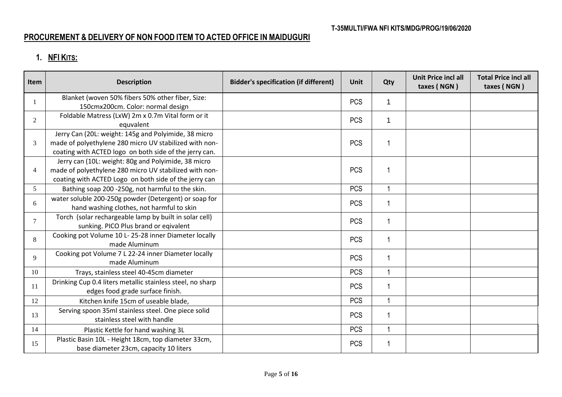## **PROCUREMENT & DELIVERY OF NON FOOD ITEM TO ACTED OFFICE IN MAIDUGURI**

## **1. NFI KITS:**

| Item           | <b>Description</b>                                         | <b>Bidder's specification (if different)</b> | Unit       | Qty | <b>Unit Price incl all</b><br>taxes (NGN) | <b>Total Price incl all</b><br>taxes (NGN) |
|----------------|------------------------------------------------------------|----------------------------------------------|------------|-----|-------------------------------------------|--------------------------------------------|
|                | Blanket (woven 50% fibers 50% other fiber, Size:           |                                              | <b>PCS</b> | 1   |                                           |                                            |
|                | 150cmx200cm. Color: normal design                          |                                              |            |     |                                           |                                            |
| $\overline{2}$ | Foldable Matress (LxW) 2m x 0.7m Vital form or it          |                                              | <b>PCS</b> | 1   |                                           |                                            |
|                | equvalent                                                  |                                              |            |     |                                           |                                            |
|                | Jerry Can (20L: weight: 145g and Polyimide, 38 micro       |                                              |            |     |                                           |                                            |
| 3              | made of polyethylene 280 micro UV stabilized with non-     |                                              | <b>PCS</b> | 1   |                                           |                                            |
|                | coating with ACTED logo on both side of the jerry can.     |                                              |            |     |                                           |                                            |
|                | Jerry can (10L: weight: 80g and Polyimide, 38 micro        |                                              |            |     |                                           |                                            |
| $\overline{4}$ | made of polyethylene 280 micro UV stabilized with non-     |                                              | <b>PCS</b> | 1   |                                           |                                            |
|                | coating with ACTED Logo on both side of the jerry can      |                                              |            |     |                                           |                                            |
| 5              | Bathing soap 200 -250g, not harmful to the skin.           |                                              | <b>PCS</b> |     |                                           |                                            |
| 6              | water soluble 200-250g powder (Detergent) or soap for      |                                              | <b>PCS</b> | 1   |                                           |                                            |
|                | hand washing clothes, not harmful to skin                  |                                              |            |     |                                           |                                            |
| $\overline{7}$ | Torch (solar rechargeable lamp by built in solar cell)     |                                              | <b>PCS</b> | 1   |                                           |                                            |
|                | sunking. PICO Plus brand or eqivalent                      |                                              |            |     |                                           |                                            |
| 8              | Cooking pot Volume 10 L- 25-28 inner Diameter locally      |                                              | <b>PCS</b> | 1   |                                           |                                            |
|                | made Aluminum                                              |                                              |            |     |                                           |                                            |
| 9              | Cooking pot Volume 7 L 22-24 inner Diameter locally        |                                              | <b>PCS</b> | 1   |                                           |                                            |
|                | made Aluminum                                              |                                              |            |     |                                           |                                            |
| 10             | Trays, stainless steel 40-45cm diameter                    |                                              | <b>PCS</b> | 1   |                                           |                                            |
| 11             | Drinking Cup 0.4 liters metallic stainless steel, no sharp |                                              | <b>PCS</b> | 1   |                                           |                                            |
|                | edges food grade surface finish.                           |                                              |            |     |                                           |                                            |
| 12             | Kitchen knife 15cm of useable blade,                       |                                              | <b>PCS</b> | 1   |                                           |                                            |
| 13             | Serving spoon 35ml stainless steel. One piece solid        |                                              |            | 1   |                                           |                                            |
|                | stainless steel with handle                                |                                              | <b>PCS</b> |     |                                           |                                            |
| 14             | Plastic Kettle for hand washing 3L                         |                                              | <b>PCS</b> | 1   |                                           |                                            |
|                | Plastic Basin 10L - Height 18cm, top diameter 33cm,        |                                              |            |     |                                           |                                            |
| 15             | base diameter 23cm, capacity 10 liters                     |                                              | <b>PCS</b> |     |                                           |                                            |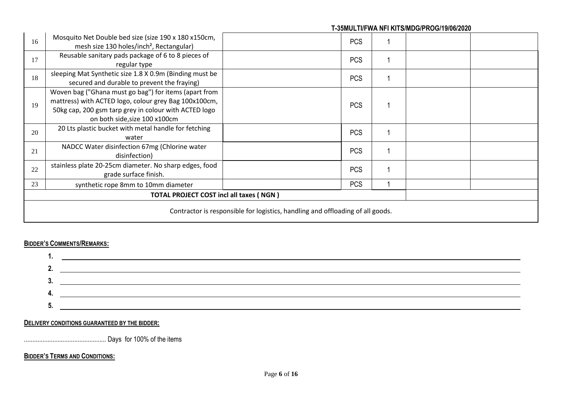| 16                                                                             | Mosquito Net Double bed size (size 190 x 180 x150cm,<br>mesh size 130 holes/inch <sup>2</sup> , Rectangular)                                                                                             | <b>PCS</b> |  |  |  |
|--------------------------------------------------------------------------------|----------------------------------------------------------------------------------------------------------------------------------------------------------------------------------------------------------|------------|--|--|--|
| 17                                                                             | Reusable sanitary pads package of 6 to 8 pieces of<br>regular type                                                                                                                                       | <b>PCS</b> |  |  |  |
| 18                                                                             | sleeping Mat Synthetic size 1.8 X 0.9m (Binding must be<br>secured and durable to prevent the fraying)                                                                                                   | <b>PCS</b> |  |  |  |
| 19                                                                             | Woven bag ("Ghana must go bag") for items (apart from<br>mattress) with ACTED logo, colour grey Bag 100x100cm,<br>50kg cap, 200 gsm tarp grey in colour with ACTED logo<br>on both side, size 100 x100cm | <b>PCS</b> |  |  |  |
| 20                                                                             | 20 Lts plastic bucket with metal handle for fetching<br>water                                                                                                                                            | <b>PCS</b> |  |  |  |
| 21                                                                             | NADCC Water disinfection 67mg (Chlorine water<br>disinfection)                                                                                                                                           | <b>PCS</b> |  |  |  |
| 22                                                                             | stainless plate 20-25cm diameter. No sharp edges, food<br>grade surface finish.                                                                                                                          | <b>PCS</b> |  |  |  |
| 23                                                                             | synthetic rope 8mm to 10mm diameter                                                                                                                                                                      | <b>PCS</b> |  |  |  |
| <b>TOTAL PROJECT COST incl all taxes (NGN)</b>                                 |                                                                                                                                                                                                          |            |  |  |  |
| Contractor is responsible for logistics, handling and offloading of all goods. |                                                                                                                                                                                                          |            |  |  |  |

## **BIDDER'S COMMENTS/REMARKS:**



## **DELIVERY CONDITIONS GUARANTEED BY THE BIDDER:**

................................................. Days for 100% of the items

## **BIDDER'S TERMS AND CONDITIONS:**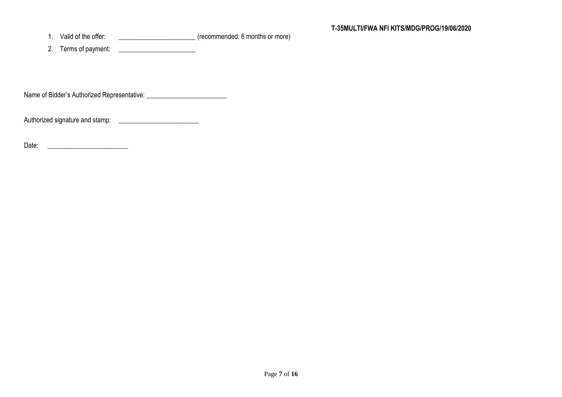1. Valid of the offer: example of the offer:  $(re{\rm commended: 6 \, months \, or \, more})$ 

2. Terms of payment:

Name of Bidder's Authorized Representative: \_\_\_\_\_\_\_\_\_\_\_\_\_\_\_\_\_\_\_\_\_\_\_\_

Authorized signature and stamp: \_\_\_\_\_\_\_\_\_\_\_\_\_\_\_\_\_\_\_\_\_\_\_\_

Date: \_\_\_\_\_\_\_\_\_\_\_\_\_\_\_\_\_\_\_\_\_\_\_\_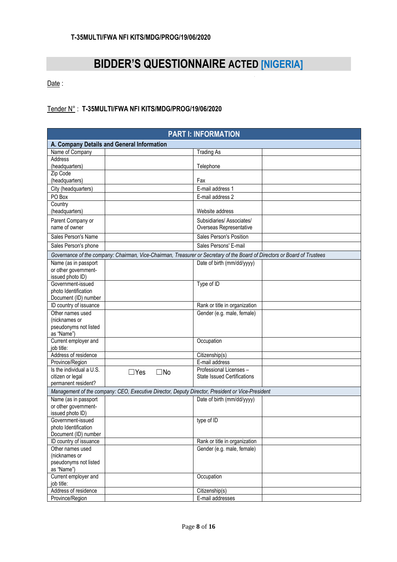# **BIDDER'S QUESTIONNAIRE ACTED [NIGERIA]**

Date:

## Tender N° : **T-35MULTI/FWA NFI KITS/MDG/PROG/19/06/2020**

| A. Company Details and General Information<br>Name of Company<br><b>Trading As</b><br>Address<br>(headquarters)<br>Telephone<br>Zip Code<br>(headquarters)<br>Fax<br>City (headquarters)<br>E-mail address 1<br>PO Box<br>E-mail address 2<br>Country<br>(headquarters)<br>Website address<br>Subsidiaries/Associates/<br>Parent Company or<br>name of owner<br>Overseas Representative<br>Sales Person's Position<br>Sales Person's Name<br>Sales Persons' E-mail<br>Sales Person's phone<br>Governance of the company: Chairman, Vice-Chairman, Treasurer or Secretary of the Board of Directors or Board of Trustees<br>Name (as in passport<br>Date of birth (mm/dd/yyyy)<br>or other government-<br>issued photo ID)<br>Government-issued<br>Type of ID<br>photo Identification<br>Document (ID) number<br>ID country of issuance<br>Rank or title in organization<br>Other names used<br>Gender (e.g. male, female)<br>(nicknames or<br>pseudonyms not listed<br>as "Name")<br>Current employer and<br>Occupation<br>iob title:<br>Address of residence<br>Citizenship(s)<br>E-mail address<br>Province/Region<br>Is the individual a U.S.<br>Professional Licenses -<br>$\square$ No<br>$\Box$ Yes<br>citizen or legal<br><b>State Issued Certifications</b><br>permanent resident?<br>Management of the company: CEO, Executive Director, Deputy Director, President or Vice-President<br>Name (as in passport<br>Date of birth (mm/dd/yyyy)<br>or other government-<br>issued photo ID)<br>Government-issued<br>type of ID<br>photo Identification<br>Document (ID) number<br>ID country of issuance<br>Rank or title in organization<br>Other names used<br>Gender (e.g. male, female)<br>(nicknames or<br>pseudonyms not listed<br>as "Name")<br>Current employer and<br>Occupation<br>job title:<br>Address of residence<br>Citizenship(s) | <b>PART I: INFORMATION</b> |  |  |                  |  |  |
|--------------------------------------------------------------------------------------------------------------------------------------------------------------------------------------------------------------------------------------------------------------------------------------------------------------------------------------------------------------------------------------------------------------------------------------------------------------------------------------------------------------------------------------------------------------------------------------------------------------------------------------------------------------------------------------------------------------------------------------------------------------------------------------------------------------------------------------------------------------------------------------------------------------------------------------------------------------------------------------------------------------------------------------------------------------------------------------------------------------------------------------------------------------------------------------------------------------------------------------------------------------------------------------------------------------------------------------------------------------------------------------------------------------------------------------------------------------------------------------------------------------------------------------------------------------------------------------------------------------------------------------------------------------------------------------------------------------------------------------------------------------------------------------------------------------------------------------------------------|----------------------------|--|--|------------------|--|--|
|                                                                                                                                                                                                                                                                                                                                                                                                                                                                                                                                                                                                                                                                                                                                                                                                                                                                                                                                                                                                                                                                                                                                                                                                                                                                                                                                                                                                                                                                                                                                                                                                                                                                                                                                                                                                                                                        |                            |  |  |                  |  |  |
|                                                                                                                                                                                                                                                                                                                                                                                                                                                                                                                                                                                                                                                                                                                                                                                                                                                                                                                                                                                                                                                                                                                                                                                                                                                                                                                                                                                                                                                                                                                                                                                                                                                                                                                                                                                                                                                        |                            |  |  |                  |  |  |
|                                                                                                                                                                                                                                                                                                                                                                                                                                                                                                                                                                                                                                                                                                                                                                                                                                                                                                                                                                                                                                                                                                                                                                                                                                                                                                                                                                                                                                                                                                                                                                                                                                                                                                                                                                                                                                                        |                            |  |  |                  |  |  |
|                                                                                                                                                                                                                                                                                                                                                                                                                                                                                                                                                                                                                                                                                                                                                                                                                                                                                                                                                                                                                                                                                                                                                                                                                                                                                                                                                                                                                                                                                                                                                                                                                                                                                                                                                                                                                                                        |                            |  |  |                  |  |  |
|                                                                                                                                                                                                                                                                                                                                                                                                                                                                                                                                                                                                                                                                                                                                                                                                                                                                                                                                                                                                                                                                                                                                                                                                                                                                                                                                                                                                                                                                                                                                                                                                                                                                                                                                                                                                                                                        |                            |  |  |                  |  |  |
|                                                                                                                                                                                                                                                                                                                                                                                                                                                                                                                                                                                                                                                                                                                                                                                                                                                                                                                                                                                                                                                                                                                                                                                                                                                                                                                                                                                                                                                                                                                                                                                                                                                                                                                                                                                                                                                        |                            |  |  |                  |  |  |
|                                                                                                                                                                                                                                                                                                                                                                                                                                                                                                                                                                                                                                                                                                                                                                                                                                                                                                                                                                                                                                                                                                                                                                                                                                                                                                                                                                                                                                                                                                                                                                                                                                                                                                                                                                                                                                                        |                            |  |  |                  |  |  |
|                                                                                                                                                                                                                                                                                                                                                                                                                                                                                                                                                                                                                                                                                                                                                                                                                                                                                                                                                                                                                                                                                                                                                                                                                                                                                                                                                                                                                                                                                                                                                                                                                                                                                                                                                                                                                                                        |                            |  |  |                  |  |  |
|                                                                                                                                                                                                                                                                                                                                                                                                                                                                                                                                                                                                                                                                                                                                                                                                                                                                                                                                                                                                                                                                                                                                                                                                                                                                                                                                                                                                                                                                                                                                                                                                                                                                                                                                                                                                                                                        |                            |  |  |                  |  |  |
|                                                                                                                                                                                                                                                                                                                                                                                                                                                                                                                                                                                                                                                                                                                                                                                                                                                                                                                                                                                                                                                                                                                                                                                                                                                                                                                                                                                                                                                                                                                                                                                                                                                                                                                                                                                                                                                        |                            |  |  |                  |  |  |
|                                                                                                                                                                                                                                                                                                                                                                                                                                                                                                                                                                                                                                                                                                                                                                                                                                                                                                                                                                                                                                                                                                                                                                                                                                                                                                                                                                                                                                                                                                                                                                                                                                                                                                                                                                                                                                                        |                            |  |  |                  |  |  |
|                                                                                                                                                                                                                                                                                                                                                                                                                                                                                                                                                                                                                                                                                                                                                                                                                                                                                                                                                                                                                                                                                                                                                                                                                                                                                                                                                                                                                                                                                                                                                                                                                                                                                                                                                                                                                                                        |                            |  |  |                  |  |  |
|                                                                                                                                                                                                                                                                                                                                                                                                                                                                                                                                                                                                                                                                                                                                                                                                                                                                                                                                                                                                                                                                                                                                                                                                                                                                                                                                                                                                                                                                                                                                                                                                                                                                                                                                                                                                                                                        |                            |  |  |                  |  |  |
|                                                                                                                                                                                                                                                                                                                                                                                                                                                                                                                                                                                                                                                                                                                                                                                                                                                                                                                                                                                                                                                                                                                                                                                                                                                                                                                                                                                                                                                                                                                                                                                                                                                                                                                                                                                                                                                        |                            |  |  |                  |  |  |
|                                                                                                                                                                                                                                                                                                                                                                                                                                                                                                                                                                                                                                                                                                                                                                                                                                                                                                                                                                                                                                                                                                                                                                                                                                                                                                                                                                                                                                                                                                                                                                                                                                                                                                                                                                                                                                                        |                            |  |  |                  |  |  |
|                                                                                                                                                                                                                                                                                                                                                                                                                                                                                                                                                                                                                                                                                                                                                                                                                                                                                                                                                                                                                                                                                                                                                                                                                                                                                                                                                                                                                                                                                                                                                                                                                                                                                                                                                                                                                                                        |                            |  |  |                  |  |  |
|                                                                                                                                                                                                                                                                                                                                                                                                                                                                                                                                                                                                                                                                                                                                                                                                                                                                                                                                                                                                                                                                                                                                                                                                                                                                                                                                                                                                                                                                                                                                                                                                                                                                                                                                                                                                                                                        |                            |  |  |                  |  |  |
|                                                                                                                                                                                                                                                                                                                                                                                                                                                                                                                                                                                                                                                                                                                                                                                                                                                                                                                                                                                                                                                                                                                                                                                                                                                                                                                                                                                                                                                                                                                                                                                                                                                                                                                                                                                                                                                        |                            |  |  |                  |  |  |
|                                                                                                                                                                                                                                                                                                                                                                                                                                                                                                                                                                                                                                                                                                                                                                                                                                                                                                                                                                                                                                                                                                                                                                                                                                                                                                                                                                                                                                                                                                                                                                                                                                                                                                                                                                                                                                                        |                            |  |  |                  |  |  |
|                                                                                                                                                                                                                                                                                                                                                                                                                                                                                                                                                                                                                                                                                                                                                                                                                                                                                                                                                                                                                                                                                                                                                                                                                                                                                                                                                                                                                                                                                                                                                                                                                                                                                                                                                                                                                                                        |                            |  |  |                  |  |  |
|                                                                                                                                                                                                                                                                                                                                                                                                                                                                                                                                                                                                                                                                                                                                                                                                                                                                                                                                                                                                                                                                                                                                                                                                                                                                                                                                                                                                                                                                                                                                                                                                                                                                                                                                                                                                                                                        |                            |  |  |                  |  |  |
|                                                                                                                                                                                                                                                                                                                                                                                                                                                                                                                                                                                                                                                                                                                                                                                                                                                                                                                                                                                                                                                                                                                                                                                                                                                                                                                                                                                                                                                                                                                                                                                                                                                                                                                                                                                                                                                        |                            |  |  |                  |  |  |
|                                                                                                                                                                                                                                                                                                                                                                                                                                                                                                                                                                                                                                                                                                                                                                                                                                                                                                                                                                                                                                                                                                                                                                                                                                                                                                                                                                                                                                                                                                                                                                                                                                                                                                                                                                                                                                                        |                            |  |  |                  |  |  |
|                                                                                                                                                                                                                                                                                                                                                                                                                                                                                                                                                                                                                                                                                                                                                                                                                                                                                                                                                                                                                                                                                                                                                                                                                                                                                                                                                                                                                                                                                                                                                                                                                                                                                                                                                                                                                                                        |                            |  |  |                  |  |  |
|                                                                                                                                                                                                                                                                                                                                                                                                                                                                                                                                                                                                                                                                                                                                                                                                                                                                                                                                                                                                                                                                                                                                                                                                                                                                                                                                                                                                                                                                                                                                                                                                                                                                                                                                                                                                                                                        |                            |  |  |                  |  |  |
|                                                                                                                                                                                                                                                                                                                                                                                                                                                                                                                                                                                                                                                                                                                                                                                                                                                                                                                                                                                                                                                                                                                                                                                                                                                                                                                                                                                                                                                                                                                                                                                                                                                                                                                                                                                                                                                        |                            |  |  |                  |  |  |
|                                                                                                                                                                                                                                                                                                                                                                                                                                                                                                                                                                                                                                                                                                                                                                                                                                                                                                                                                                                                                                                                                                                                                                                                                                                                                                                                                                                                                                                                                                                                                                                                                                                                                                                                                                                                                                                        |                            |  |  |                  |  |  |
|                                                                                                                                                                                                                                                                                                                                                                                                                                                                                                                                                                                                                                                                                                                                                                                                                                                                                                                                                                                                                                                                                                                                                                                                                                                                                                                                                                                                                                                                                                                                                                                                                                                                                                                                                                                                                                                        |                            |  |  |                  |  |  |
|                                                                                                                                                                                                                                                                                                                                                                                                                                                                                                                                                                                                                                                                                                                                                                                                                                                                                                                                                                                                                                                                                                                                                                                                                                                                                                                                                                                                                                                                                                                                                                                                                                                                                                                                                                                                                                                        |                            |  |  |                  |  |  |
|                                                                                                                                                                                                                                                                                                                                                                                                                                                                                                                                                                                                                                                                                                                                                                                                                                                                                                                                                                                                                                                                                                                                                                                                                                                                                                                                                                                                                                                                                                                                                                                                                                                                                                                                                                                                                                                        |                            |  |  |                  |  |  |
|                                                                                                                                                                                                                                                                                                                                                                                                                                                                                                                                                                                                                                                                                                                                                                                                                                                                                                                                                                                                                                                                                                                                                                                                                                                                                                                                                                                                                                                                                                                                                                                                                                                                                                                                                                                                                                                        |                            |  |  |                  |  |  |
|                                                                                                                                                                                                                                                                                                                                                                                                                                                                                                                                                                                                                                                                                                                                                                                                                                                                                                                                                                                                                                                                                                                                                                                                                                                                                                                                                                                                                                                                                                                                                                                                                                                                                                                                                                                                                                                        |                            |  |  |                  |  |  |
|                                                                                                                                                                                                                                                                                                                                                                                                                                                                                                                                                                                                                                                                                                                                                                                                                                                                                                                                                                                                                                                                                                                                                                                                                                                                                                                                                                                                                                                                                                                                                                                                                                                                                                                                                                                                                                                        |                            |  |  |                  |  |  |
|                                                                                                                                                                                                                                                                                                                                                                                                                                                                                                                                                                                                                                                                                                                                                                                                                                                                                                                                                                                                                                                                                                                                                                                                                                                                                                                                                                                                                                                                                                                                                                                                                                                                                                                                                                                                                                                        |                            |  |  |                  |  |  |
|                                                                                                                                                                                                                                                                                                                                                                                                                                                                                                                                                                                                                                                                                                                                                                                                                                                                                                                                                                                                                                                                                                                                                                                                                                                                                                                                                                                                                                                                                                                                                                                                                                                                                                                                                                                                                                                        |                            |  |  |                  |  |  |
|                                                                                                                                                                                                                                                                                                                                                                                                                                                                                                                                                                                                                                                                                                                                                                                                                                                                                                                                                                                                                                                                                                                                                                                                                                                                                                                                                                                                                                                                                                                                                                                                                                                                                                                                                                                                                                                        |                            |  |  |                  |  |  |
|                                                                                                                                                                                                                                                                                                                                                                                                                                                                                                                                                                                                                                                                                                                                                                                                                                                                                                                                                                                                                                                                                                                                                                                                                                                                                                                                                                                                                                                                                                                                                                                                                                                                                                                                                                                                                                                        |                            |  |  |                  |  |  |
|                                                                                                                                                                                                                                                                                                                                                                                                                                                                                                                                                                                                                                                                                                                                                                                                                                                                                                                                                                                                                                                                                                                                                                                                                                                                                                                                                                                                                                                                                                                                                                                                                                                                                                                                                                                                                                                        |                            |  |  |                  |  |  |
|                                                                                                                                                                                                                                                                                                                                                                                                                                                                                                                                                                                                                                                                                                                                                                                                                                                                                                                                                                                                                                                                                                                                                                                                                                                                                                                                                                                                                                                                                                                                                                                                                                                                                                                                                                                                                                                        |                            |  |  |                  |  |  |
|                                                                                                                                                                                                                                                                                                                                                                                                                                                                                                                                                                                                                                                                                                                                                                                                                                                                                                                                                                                                                                                                                                                                                                                                                                                                                                                                                                                                                                                                                                                                                                                                                                                                                                                                                                                                                                                        |                            |  |  |                  |  |  |
|                                                                                                                                                                                                                                                                                                                                                                                                                                                                                                                                                                                                                                                                                                                                                                                                                                                                                                                                                                                                                                                                                                                                                                                                                                                                                                                                                                                                                                                                                                                                                                                                                                                                                                                                                                                                                                                        |                            |  |  |                  |  |  |
|                                                                                                                                                                                                                                                                                                                                                                                                                                                                                                                                                                                                                                                                                                                                                                                                                                                                                                                                                                                                                                                                                                                                                                                                                                                                                                                                                                                                                                                                                                                                                                                                                                                                                                                                                                                                                                                        |                            |  |  |                  |  |  |
|                                                                                                                                                                                                                                                                                                                                                                                                                                                                                                                                                                                                                                                                                                                                                                                                                                                                                                                                                                                                                                                                                                                                                                                                                                                                                                                                                                                                                                                                                                                                                                                                                                                                                                                                                                                                                                                        | Province/Region            |  |  | E-mail addresses |  |  |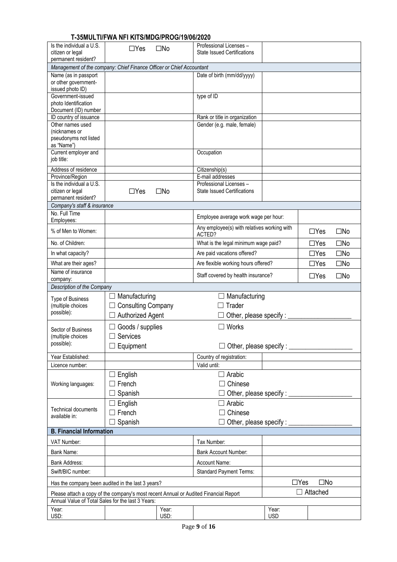|                                                                                                                                           | סאטאוטטווואטווויט וויו דווו דאז וויו דוווי |              |                                                                   |                                    |                            |              |  |
|-------------------------------------------------------------------------------------------------------------------------------------------|--------------------------------------------|--------------|-------------------------------------------------------------------|------------------------------------|----------------------------|--------------|--|
| Is the individual a U.S.<br>citizen or legal                                                                                              | $\Box$ Yes                                 | $\square$ No | Professional Licenses -<br><b>State Issued Certifications</b>     |                                    |                            |              |  |
| permanent resident?<br>Management of the company: Chief Finance Officer or Chief Accountant                                               |                                            |              |                                                                   |                                    |                            |              |  |
| Name (as in passport                                                                                                                      |                                            |              | Date of birth (mm/dd/yyyy)                                        |                                    |                            |              |  |
| or other government-                                                                                                                      |                                            |              |                                                                   |                                    |                            |              |  |
| issued photo ID)                                                                                                                          |                                            |              |                                                                   |                                    |                            |              |  |
| Government-issued<br>photo Identification                                                                                                 |                                            |              | type of ID                                                        |                                    |                            |              |  |
| Document (ID) number                                                                                                                      |                                            |              |                                                                   |                                    |                            |              |  |
| ID country of issuance                                                                                                                    |                                            |              | Rank or title in organization                                     |                                    |                            |              |  |
| Other names used                                                                                                                          |                                            |              | Gender (e.g. male, female)                                        |                                    |                            |              |  |
| (nicknames or<br>pseudonyms not listed                                                                                                    |                                            |              |                                                                   |                                    |                            |              |  |
| as "Name")                                                                                                                                |                                            |              |                                                                   |                                    |                            |              |  |
| Current employer and                                                                                                                      |                                            |              | Occupation                                                        |                                    |                            |              |  |
| job title:                                                                                                                                |                                            |              |                                                                   |                                    |                            |              |  |
| Address of residence                                                                                                                      |                                            |              | Citizenship(s)                                                    |                                    |                            |              |  |
| Province/Region<br>Is the individual a U.S.                                                                                               |                                            |              | E-mail addresses<br>Professional Licenses -                       |                                    |                            |              |  |
| citizen or legal                                                                                                                          | $\Box$ Yes                                 | $\square$ No | <b>State Issued Certifications</b>                                |                                    |                            |              |  |
| permanent resident?                                                                                                                       |                                            |              |                                                                   |                                    |                            |              |  |
| Company's staff & insurance                                                                                                               |                                            |              |                                                                   |                                    |                            |              |  |
| No. Full Time                                                                                                                             |                                            |              | Employee average work wage per hour:                              |                                    |                            |              |  |
| Employees:<br>% of Men to Women:                                                                                                          |                                            |              | Any employee(s) with relatives working with                       |                                    | $\Box$ Yes                 | $\square$ No |  |
| No. of Children:                                                                                                                          |                                            |              | ACTED?<br>What is the legal minimum wage paid?                    |                                    | $\Box$ Yes                 | $\square$ No |  |
|                                                                                                                                           |                                            |              |                                                                   |                                    |                            |              |  |
| In what capacity?                                                                                                                         |                                            |              | $\Box$ Yes<br>$\square$ No<br>Are paid vacations offered?         |                                    |                            |              |  |
| What are their ages?                                                                                                                      |                                            |              | $\square$ No<br>Are flexible working hours offered?<br>$\Box$ Yes |                                    |                            |              |  |
| Name of insurance<br>company:                                                                                                             |                                            |              | Staff covered by health insurance?<br>$\Box$ Yes<br>$\square$ No  |                                    |                            |              |  |
| Description of the Company                                                                                                                |                                            |              |                                                                   |                                    |                            |              |  |
|                                                                                                                                           | Manufacturing                              |              | Manufacturing                                                     |                                    |                            |              |  |
| <b>Type of Business</b><br>(multiple choices                                                                                              | <b>Consulting Company</b>                  |              | Trader                                                            |                                    |                            |              |  |
| possible):                                                                                                                                | <b>Authorized Agent</b>                    |              | Other, please specify : _                                         |                                    |                            |              |  |
|                                                                                                                                           |                                            |              |                                                                   |                                    |                            |              |  |
| Sector of Business                                                                                                                        | Goods / supplies                           |              | Works                                                             |                                    |                            |              |  |
| (multiple choices<br>possible):                                                                                                           | Services                                   |              |                                                                   |                                    |                            |              |  |
|                                                                                                                                           | $\Box$ Equipment                           |              |                                                                   | Other, please specify : __________ |                            |              |  |
| Year Established:                                                                                                                         |                                            |              | Country of registration:                                          |                                    |                            |              |  |
| Licence number:                                                                                                                           |                                            |              | Valid until:                                                      |                                    |                            |              |  |
|                                                                                                                                           | English                                    |              | Arabic<br>$\Box$                                                  |                                    |                            |              |  |
| Working languages:                                                                                                                        | French                                     |              | Chinese                                                           |                                    |                            |              |  |
|                                                                                                                                           | Spanish                                    |              |                                                                   | Other, please specify : _____      |                            |              |  |
|                                                                                                                                           | English                                    |              | Arabic                                                            |                                    |                            |              |  |
| <b>Technical documents</b>                                                                                                                | French<br>$\overline{\phantom{0}}$         |              | Chinese                                                           |                                    |                            |              |  |
| available in:                                                                                                                             | Spanish                                    |              | Other, please specify : __                                        |                                    |                            |              |  |
| <b>B. Financial Information</b>                                                                                                           |                                            |              |                                                                   |                                    |                            |              |  |
| VAT Number:                                                                                                                               |                                            |              | Tax Number:                                                       |                                    |                            |              |  |
| Bank Name:                                                                                                                                |                                            |              | <b>Bank Account Number:</b>                                       |                                    |                            |              |  |
| Bank Address:                                                                                                                             |                                            |              | Account Name:                                                     |                                    |                            |              |  |
| Swift/BIC number:                                                                                                                         |                                            |              | <b>Standard Payment Terms:</b>                                    |                                    |                            |              |  |
|                                                                                                                                           |                                            |              |                                                                   |                                    |                            |              |  |
| Has the company been audited in the last 3 years?                                                                                         |                                            |              |                                                                   |                                    | $\Box$ Yes<br>$\square$ No |              |  |
| Please attach a copy of the company's most recent Annual or Audited Financial Report<br>Annual Value of Total Sales for the last 3 Years: |                                            |              |                                                                   |                                    | $\Box$ Attached            |              |  |
| Year:                                                                                                                                     |                                            | Year:        |                                                                   | Year:                              |                            |              |  |
| USD:                                                                                                                                      |                                            | USD:         |                                                                   | <b>USD</b>                         |                            |              |  |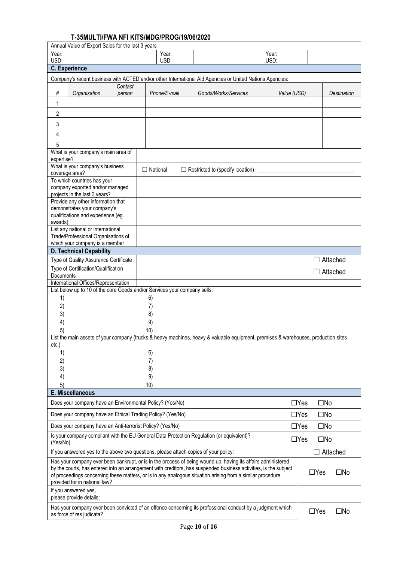|                  | Annual Value of Export Sales for the last 3 years                                                                                                                     |         |                                                                           |                                                                                                                                                                                                                                  |             |                            |                    |
|------------------|-----------------------------------------------------------------------------------------------------------------------------------------------------------------------|---------|---------------------------------------------------------------------------|----------------------------------------------------------------------------------------------------------------------------------------------------------------------------------------------------------------------------------|-------------|----------------------------|--------------------|
| Year:            |                                                                                                                                                                       |         | Year:                                                                     |                                                                                                                                                                                                                                  | Year:       |                            |                    |
| USD:             |                                                                                                                                                                       |         | USD:                                                                      |                                                                                                                                                                                                                                  | USD:        |                            |                    |
|                  | <b>C.</b> Experience                                                                                                                                                  |         |                                                                           |                                                                                                                                                                                                                                  |             |                            |                    |
|                  |                                                                                                                                                                       |         |                                                                           | Company's recent business with ACTED and/or other International Aid Agencies or United Nations Agencies:                                                                                                                         |             |                            |                    |
|                  |                                                                                                                                                                       | Contact |                                                                           | Goods/Works/Services                                                                                                                                                                                                             |             |                            |                    |
| #                | Organisation                                                                                                                                                          | person  | Phone/E-mail                                                              |                                                                                                                                                                                                                                  | Value (USD) |                            | <b>Destination</b> |
| 1                |                                                                                                                                                                       |         |                                                                           |                                                                                                                                                                                                                                  |             |                            |                    |
| 2                |                                                                                                                                                                       |         |                                                                           |                                                                                                                                                                                                                                  |             |                            |                    |
| 3                |                                                                                                                                                                       |         |                                                                           |                                                                                                                                                                                                                                  |             |                            |                    |
| 4                |                                                                                                                                                                       |         |                                                                           |                                                                                                                                                                                                                                  |             |                            |                    |
|                  |                                                                                                                                                                       |         |                                                                           |                                                                                                                                                                                                                                  |             |                            |                    |
| 5                | What is your company's main area of                                                                                                                                   |         |                                                                           |                                                                                                                                                                                                                                  |             |                            |                    |
| expertise?       |                                                                                                                                                                       |         |                                                                           |                                                                                                                                                                                                                                  |             |                            |                    |
|                  | What is your company's business                                                                                                                                       |         | $\Box$ National                                                           | □ Restricted to (specify location) : _____                                                                                                                                                                                       |             |                            |                    |
|                  | coverage area?                                                                                                                                                        |         |                                                                           |                                                                                                                                                                                                                                  |             |                            |                    |
|                  | To which countries has your                                                                                                                                           |         |                                                                           |                                                                                                                                                                                                                                  |             |                            |                    |
|                  | company exported and/or managed<br>projects in the last 3 years?                                                                                                      |         |                                                                           |                                                                                                                                                                                                                                  |             |                            |                    |
|                  | Provide any other information that                                                                                                                                    |         |                                                                           |                                                                                                                                                                                                                                  |             |                            |                    |
|                  | demonstrates your company's                                                                                                                                           |         |                                                                           |                                                                                                                                                                                                                                  |             |                            |                    |
|                  | qualifications and experience (eg.                                                                                                                                    |         |                                                                           |                                                                                                                                                                                                                                  |             |                            |                    |
| awards)          | List any national or international                                                                                                                                    |         |                                                                           |                                                                                                                                                                                                                                  |             |                            |                    |
|                  | Trade/Professional Organisations of                                                                                                                                   |         |                                                                           |                                                                                                                                                                                                                                  |             |                            |                    |
|                  | which your company is a member                                                                                                                                        |         |                                                                           |                                                                                                                                                                                                                                  |             |                            |                    |
|                  | <b>D. Technical Capability</b>                                                                                                                                        |         |                                                                           |                                                                                                                                                                                                                                  |             |                            |                    |
|                  | Type of Quality Assurance Certificate                                                                                                                                 |         |                                                                           |                                                                                                                                                                                                                                  |             |                            | Attached           |
|                  | Type of Certification/Qualification                                                                                                                                   |         |                                                                           |                                                                                                                                                                                                                                  |             |                            | Attached           |
| <b>Documents</b> |                                                                                                                                                                       |         |                                                                           |                                                                                                                                                                                                                                  |             |                            |                    |
|                  | International Offices/Representation                                                                                                                                  |         | List below up to 10 of the core Goods and/or Services your company sells: |                                                                                                                                                                                                                                  |             |                            |                    |
| 1)               |                                                                                                                                                                       |         | 6)                                                                        |                                                                                                                                                                                                                                  |             |                            |                    |
| 2)               |                                                                                                                                                                       |         | 7)                                                                        |                                                                                                                                                                                                                                  |             |                            |                    |
| 3)               |                                                                                                                                                                       |         | 8)                                                                        |                                                                                                                                                                                                                                  |             |                            |                    |
| 4)               |                                                                                                                                                                       |         | 9)                                                                        |                                                                                                                                                                                                                                  |             |                            |                    |
| 5)               |                                                                                                                                                                       |         | 10)                                                                       |                                                                                                                                                                                                                                  |             |                            |                    |
|                  |                                                                                                                                                                       |         |                                                                           | List the main assets of your company (trucks & heavy machines, heavy & valuable equipment, premises & warehouses, production sites                                                                                               |             |                            |                    |
| etc.             |                                                                                                                                                                       |         |                                                                           |                                                                                                                                                                                                                                  |             |                            |                    |
| 1)               |                                                                                                                                                                       |         | 6)                                                                        |                                                                                                                                                                                                                                  |             |                            |                    |
| 2)               |                                                                                                                                                                       |         | 7)                                                                        |                                                                                                                                                                                                                                  |             |                            |                    |
| 3)               |                                                                                                                                                                       |         | 8)                                                                        |                                                                                                                                                                                                                                  |             |                            |                    |
| 4)               |                                                                                                                                                                       |         | 9)                                                                        |                                                                                                                                                                                                                                  |             |                            |                    |
| 5)               | E. Miscellaneous                                                                                                                                                      |         | 10)                                                                       |                                                                                                                                                                                                                                  |             |                            |                    |
|                  |                                                                                                                                                                       |         |                                                                           |                                                                                                                                                                                                                                  |             |                            |                    |
|                  |                                                                                                                                                                       |         | Does your company have an Environmental Policy? (Yes/No)                  |                                                                                                                                                                                                                                  |             | $\square$ No<br>$\Box$ Yes |                    |
|                  |                                                                                                                                                                       |         | Does your company have an Ethical Trading Policy? (Yes/No)                |                                                                                                                                                                                                                                  |             | $\square$ No<br>$\Box$ Yes |                    |
|                  |                                                                                                                                                                       |         | Does your company have an Anti-terrorist Policy? (Yes/No)                 |                                                                                                                                                                                                                                  |             | $\Box$ Yes<br>$\square$ No |                    |
| (Yes/No)         | Is your company compliant with the EU General Data Protection Regulation (or equivalent)?<br>$\Box$ Yes<br>$\square$ No                                               |         |                                                                           |                                                                                                                                                                                                                                  |             |                            |                    |
|                  |                                                                                                                                                                       |         |                                                                           | If you answered yes to the above two questions, please attach copies of your policy:                                                                                                                                             |             |                            | <b>Attached</b>    |
|                  |                                                                                                                                                                       |         |                                                                           | Has your company ever been bankrupt, or is in the process of being wound up, having its affairs administered<br>by the courts, has entered into an arrangement with creditors, has suspended business activities, is the subject |             | $\Box$ Yes                 |                    |
|                  | provided for in national law?                                                                                                                                         |         |                                                                           | of proceedings concerning these matters, or is in any analogous situation arising from a similar procedure                                                                                                                       |             |                            | $\square$ No       |
|                  | If you answered yes,<br>please provide details:                                                                                                                       |         |                                                                           |                                                                                                                                                                                                                                  |             |                            |                    |
|                  | Has your company ever been convicted of an offence concerning its professional conduct by a judgment which<br>$\Box$ Yes<br>$\square$ No<br>as force of res judicata? |         |                                                                           |                                                                                                                                                                                                                                  |             |                            |                    |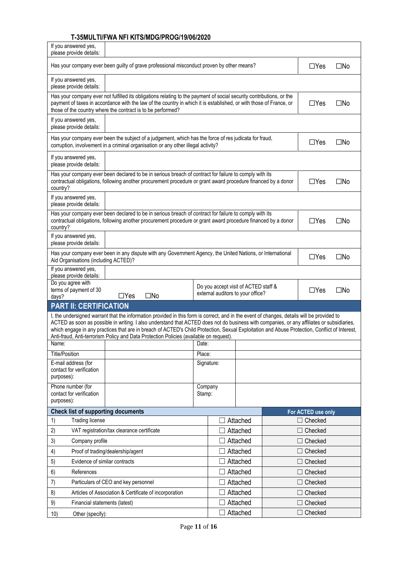| If you answered yes,<br>please provide details:                                                                                                                                                                                                                                                                                                                                                                                                                                                                                     |                                                                                                                                                                                                                                                                          |  |                                                                           |  |                    |              |  |
|-------------------------------------------------------------------------------------------------------------------------------------------------------------------------------------------------------------------------------------------------------------------------------------------------------------------------------------------------------------------------------------------------------------------------------------------------------------------------------------------------------------------------------------|--------------------------------------------------------------------------------------------------------------------------------------------------------------------------------------------------------------------------------------------------------------------------|--|---------------------------------------------------------------------------|--|--------------------|--------------|--|
| $\Box$ Yes<br>$\square$ No<br>Has your company ever been guilty of grave professional misconduct proven by other means?                                                                                                                                                                                                                                                                                                                                                                                                             |                                                                                                                                                                                                                                                                          |  |                                                                           |  |                    |              |  |
| If you answered yes,<br>please provide details:                                                                                                                                                                                                                                                                                                                                                                                                                                                                                     |                                                                                                                                                                                                                                                                          |  |                                                                           |  |                    |              |  |
| those of the country where the contract is to be performed?                                                                                                                                                                                                                                                                                                                                                                                                                                                                         | Has your company ever not fulfilled its obligations relating to the payment of social security contributions, or the<br>payment of taxes in accordance with the law of the country in which it is established, or with those of France, or<br>$\Box$ Yes<br>$\square$ No |  |                                                                           |  |                    |              |  |
| If you answered yes,<br>please provide details:                                                                                                                                                                                                                                                                                                                                                                                                                                                                                     |                                                                                                                                                                                                                                                                          |  |                                                                           |  |                    |              |  |
| Has your company ever been the subject of a judgement, which has the force of res judicata for fraud,<br>$\Box$ Yes<br>$\square$ No<br>corruption, involvement in a criminal organisation or any other illegal activity?                                                                                                                                                                                                                                                                                                            |                                                                                                                                                                                                                                                                          |  |                                                                           |  |                    |              |  |
| If you answered yes,<br>please provide details:                                                                                                                                                                                                                                                                                                                                                                                                                                                                                     |                                                                                                                                                                                                                                                                          |  |                                                                           |  |                    |              |  |
| Has your company ever been declared to be in serious breach of contract for failure to comply with its<br>contractual obligations, following another procurement procedure or grant award procedure financed by a donor<br>country?                                                                                                                                                                                                                                                                                                 |                                                                                                                                                                                                                                                                          |  |                                                                           |  | $\Box$ Yes         | $\square$ No |  |
| If you answered yes,<br>please provide details:                                                                                                                                                                                                                                                                                                                                                                                                                                                                                     |                                                                                                                                                                                                                                                                          |  |                                                                           |  |                    |              |  |
| Has your company ever been declared to be in serious breach of contract for failure to comply with its<br>contractual obligations, following another procurement procedure or grant award procedure financed by a donor<br>country?                                                                                                                                                                                                                                                                                                 |                                                                                                                                                                                                                                                                          |  |                                                                           |  | $\Box$ Yes         | $\square$ No |  |
| If you answered yes,<br>please provide details:                                                                                                                                                                                                                                                                                                                                                                                                                                                                                     |                                                                                                                                                                                                                                                                          |  |                                                                           |  |                    |              |  |
| Has your company ever been in any dispute with any Government Agency, the United Nations, or International<br>$\Box$ Yes<br>$\square$ No<br>Aid Organisations (including ACTED)?                                                                                                                                                                                                                                                                                                                                                    |                                                                                                                                                                                                                                                                          |  |                                                                           |  |                    |              |  |
| If you answered yes,<br>please provide details:                                                                                                                                                                                                                                                                                                                                                                                                                                                                                     |                                                                                                                                                                                                                                                                          |  |                                                                           |  |                    |              |  |
| Do you agree with<br>terms of payment of 30<br>$\square$ No<br>$\Box$ Yes<br>days?                                                                                                                                                                                                                                                                                                                                                                                                                                                  |                                                                                                                                                                                                                                                                          |  | Do you accept visit of ACTED staff &<br>external auditors to your office? |  | $\Box$ Yes         | $\square$ No |  |
| <b>PART II: CERTIFICATION</b>                                                                                                                                                                                                                                                                                                                                                                                                                                                                                                       |                                                                                                                                                                                                                                                                          |  |                                                                           |  |                    |              |  |
| I, the undersigned warrant that the information provided in this form is correct, and in the event of changes, details will be provided to<br>ACTED as soon as possible in writing. I also understand that ACTED does not do business with companies, or any affiliates or subsidiaries,<br>which engage in any practices that are in breach of ACTED's Child Protection, Sexual Exploitation and Abuse Protection, Conflict of Interest,<br>Anti-fraud, Anti-terrorism Policy and Data Protection Policies (available on request). |                                                                                                                                                                                                                                                                          |  |                                                                           |  |                    |              |  |
| Name:                                                                                                                                                                                                                                                                                                                                                                                                                                                                                                                               | Date:                                                                                                                                                                                                                                                                    |  |                                                                           |  |                    |              |  |
| <b>Title/Position</b>                                                                                                                                                                                                                                                                                                                                                                                                                                                                                                               | Place:                                                                                                                                                                                                                                                                   |  |                                                                           |  |                    |              |  |
| E-mail address (for<br>contact for verification<br>purposes):                                                                                                                                                                                                                                                                                                                                                                                                                                                                       | Signature:                                                                                                                                                                                                                                                               |  |                                                                           |  |                    |              |  |
| Phone number (for<br>contact for verification<br>purposes):                                                                                                                                                                                                                                                                                                                                                                                                                                                                         | Company<br>Stamp:                                                                                                                                                                                                                                                        |  |                                                                           |  |                    |              |  |
| <b>Check list of supporting documents</b>                                                                                                                                                                                                                                                                                                                                                                                                                                                                                           |                                                                                                                                                                                                                                                                          |  |                                                                           |  | For ACTED use only |              |  |
| <b>Trading license</b><br>1)                                                                                                                                                                                                                                                                                                                                                                                                                                                                                                        |                                                                                                                                                                                                                                                                          |  | Attached                                                                  |  | $\Box$ Checked     |              |  |
| 2)<br>VAT registration/tax clearance certificate                                                                                                                                                                                                                                                                                                                                                                                                                                                                                    |                                                                                                                                                                                                                                                                          |  | Attached                                                                  |  | Checked            |              |  |
| 3)<br>Company profile                                                                                                                                                                                                                                                                                                                                                                                                                                                                                                               |                                                                                                                                                                                                                                                                          |  | Attached                                                                  |  | Checked            |              |  |
| Proof of trading/dealership/agent<br>4)                                                                                                                                                                                                                                                                                                                                                                                                                                                                                             |                                                                                                                                                                                                                                                                          |  | Attached                                                                  |  | Checked            |              |  |
| Evidence of similar contracts<br>5)                                                                                                                                                                                                                                                                                                                                                                                                                                                                                                 |                                                                                                                                                                                                                                                                          |  | Attached                                                                  |  | $\Box$ Checked     |              |  |
| 6)<br>References                                                                                                                                                                                                                                                                                                                                                                                                                                                                                                                    |                                                                                                                                                                                                                                                                          |  | Attached                                                                  |  | $\Box$ Checked     |              |  |
| Particulars of CEO and key personnel<br>7)                                                                                                                                                                                                                                                                                                                                                                                                                                                                                          |                                                                                                                                                                                                                                                                          |  | Attached                                                                  |  | Checked            |              |  |
| Articles of Association & Certificate of incorporation<br>8)                                                                                                                                                                                                                                                                                                                                                                                                                                                                        |                                                                                                                                                                                                                                                                          |  | Attached                                                                  |  | $\Box$ Checked     |              |  |
| 9)<br>Financial statements (latest)                                                                                                                                                                                                                                                                                                                                                                                                                                                                                                 |                                                                                                                                                                                                                                                                          |  | Attached                                                                  |  | Checked            |              |  |
|                                                                                                                                                                                                                                                                                                                                                                                                                                                                                                                                     |                                                                                                                                                                                                                                                                          |  |                                                                           |  |                    |              |  |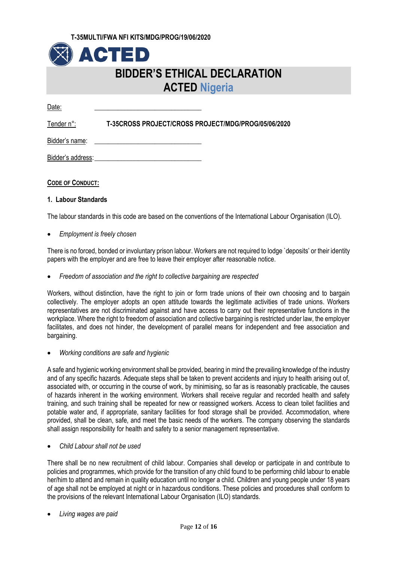

# **BIDDER'S ETHICAL DECLARATION ACTED Nigeria**

Date: \_\_\_\_\_\_\_\_\_\_\_\_\_\_\_\_\_\_\_\_\_\_\_\_\_\_\_\_\_\_\_\_

Tender n°: **T-35CROSS PROJECT/CROSS PROJECT/MDG/PROG/05/06/2020**

Bidder's name:

Bidder's address:

## **CODE OF CONDUCT:**

## **1. Labour Standards**

The labour standards in this code are based on the conventions of the International Labour Organisation (ILO).

*Employment is freely chosen*

There is no forced, bonded or involuntary prison labour. Workers are not required to lodge `deposits' or their identity papers with the employer and are free to leave their employer after reasonable notice.

*Freedom of association and the right to collective bargaining are respected*

Workers, without distinction, have the right to join or form trade unions of their own choosing and to bargain collectively. The employer adopts an open attitude towards the legitimate activities of trade unions. Workers representatives are not discriminated against and have access to carry out their representative functions in the workplace. Where the right to freedom of association and collective bargaining is restricted under law, the employer facilitates, and does not hinder, the development of parallel means for independent and free association and bargaining.

*Working conditions are safe and hygienic*

A safe and hygienic working environment shall be provided, bearing in mind the prevailing knowledge of the industry and of any specific hazards. Adequate steps shall be taken to prevent accidents and injury to health arising out of, associated with, or occurring in the course of work, by minimising, so far as is reasonably practicable, the causes of hazards inherent in the working environment. Workers shall receive regular and recorded health and safety training, and such training shall be repeated for new or reassigned workers. Access to clean toilet facilities and potable water and, if appropriate, sanitary facilities for food storage shall be provided. Accommodation, where provided, shall be clean, safe, and meet the basic needs of the workers. The company observing the standards shall assign responsibility for health and safety to a senior management representative.

*Child Labour shall not be used*

There shall be no new recruitment of child labour. Companies shall develop or participate in and contribute to policies and programmes, which provide for the transition of any child found to be performing child labour to enable her/him to attend and remain in quality education until no longer a child. Children and young people under 18 years of age shall not be employed at night or in hazardous conditions. These policies and procedures shall conform to the provisions of the relevant International Labour Organisation (ILO) standards.

*Living wages are paid*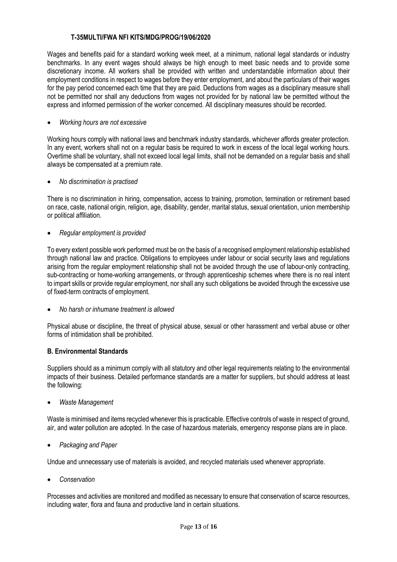Wages and benefits paid for a standard working week meet, at a minimum, national legal standards or industry benchmarks. In any event wages should always be high enough to meet basic needs and to provide some discretionary income. All workers shall be provided with written and understandable information about their employment conditions in respect to wages before they enter employment, and about the particulars of their wages for the pay period concerned each time that they are paid. Deductions from wages as a disciplinary measure shall not be permitted nor shall any deductions from wages not provided for by national law be permitted without the express and informed permission of the worker concerned. All disciplinary measures should be recorded.

## *Working hours are not excessive*

Working hours comply with national laws and benchmark industry standards, whichever affords greater protection. In any event, workers shall not on a regular basis be required to work in excess of the local legal working hours. Overtime shall be voluntary, shall not exceed local legal limits, shall not be demanded on a regular basis and shall always be compensated at a premium rate.

*No discrimination is practised*

There is no discrimination in hiring, compensation, access to training, promotion, termination or retirement based on race, caste, national origin, religion, age, disability, gender, marital status, sexual orientation, union membership or political affiliation.

*Regular employment is provided*

To every extent possible work performed must be on the basis of a recognised employment relationship established through national law and practice. Obligations to employees under labour or social security laws and regulations arising from the regular employment relationship shall not be avoided through the use of labour-only contracting, sub-contracting or home-working arrangements, or through apprenticeship schemes where there is no real intent to impart skills or provide regular employment, nor shall any such obligations be avoided through the excessive use of fixed-term contracts of employment.

*No harsh or inhumane treatment is allowed*

Physical abuse or discipline, the threat of physical abuse, sexual or other harassment and verbal abuse or other forms of intimidation shall be prohibited.

## **B. Environmental Standards**

Suppliers should as a minimum comply with all statutory and other legal requirements relating to the environmental impacts of their business. Detailed performance standards are a matter for suppliers, but should address at least the following:

*Waste Management*

Waste is minimised and items recycled whenever this is practicable. Effective controls of waste in respect of ground, air, and water pollution are adopted. In the case of hazardous materials, emergency response plans are in place.

*Packaging and Paper*

Undue and unnecessary use of materials is avoided, and recycled materials used whenever appropriate.

*Conservation*

Processes and activities are monitored and modified as necessary to ensure that conservation of scarce resources, including water, flora and fauna and productive land in certain situations.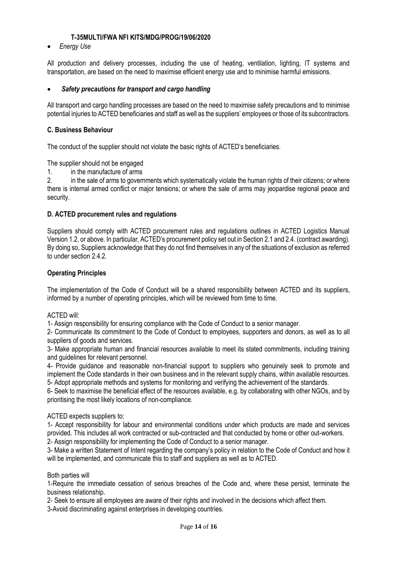*Energy Use* 

All production and delivery processes, including the use of heating, ventilation, lighting, IT systems and transportation, are based on the need to maximise efficient energy use and to minimise harmful emissions.

## *Safety precautions for transport and cargo handling*

All transport and cargo handling processes are based on the need to maximise safety precautions and to minimise potential injuries to ACTED beneficiaries and staff as well as the suppliers' employees or those of its subcontractors.

## **C. Business Behaviour**

The conduct of the supplier should not violate the basic rights of ACTED's beneficiaries.

The supplier should not be engaged

1. in the manufacture of arms

2. in the sale of arms to governments which systematically violate the human rights of their citizens; or where there is internal armed conflict or major tensions; or where the sale of arms may jeopardise regional peace and security.

## **D. ACTED procurement rules and regulations**

Suppliers should comply with ACTED procurement rules and regulations outlines in ACTED Logistics Manual Version 1.2. or above. In particular, ACTED's procurement policy set out in Section 2.1 and 2.4. (contract awarding). By doing so, Suppliers acknowledge that they do not find themselves in any of the situations of exclusion as referred to under section 2.4.2.

## **Operating Principles**

The implementation of the Code of Conduct will be a shared responsibility between ACTED and its suppliers, informed by a number of operating principles, which will be reviewed from time to time.

### ACTED will:

1- Assign responsibility for ensuring compliance with the Code of Conduct to a senior manager.

2- Communicate its commitment to the Code of Conduct to employees, supporters and donors, as well as to all suppliers of goods and services.

3- Make appropriate human and financial resources available to meet its stated commitments, including training and guidelines for relevant personnel.

4- Provide guidance and reasonable non-financial support to suppliers who genuinely seek to promote and implement the Code standards in their own business and in the relevant supply chains, within available resources. 5- Adopt appropriate methods and systems for monitoring and verifying the achievement of the standards.

6- Seek to maximise the beneficial effect of the resources available, e.g. by collaborating with other NGOs, and by prioritising the most likely locations of non-compliance.

### ACTED expects suppliers to:

1- Accept responsibility for labour and environmental conditions under which products are made and services provided. This includes all work contracted or sub-contracted and that conducted by home or other out-workers. 2- Assign responsibility for implementing the Code of Conduct to a senior manager.

3- Make a written Statement of Intent regarding the company's policy in relation to the Code of Conduct and how it will be implemented, and communicate this to staff and suppliers as well as to ACTED.

### Both parties will

1-Require the immediate cessation of serious breaches of the Code and, where these persist, terminate the business relationship.

2- Seek to ensure all employees are aware of their rights and involved in the decisions which affect them.

3-Avoid discriminating against enterprises in developing countries.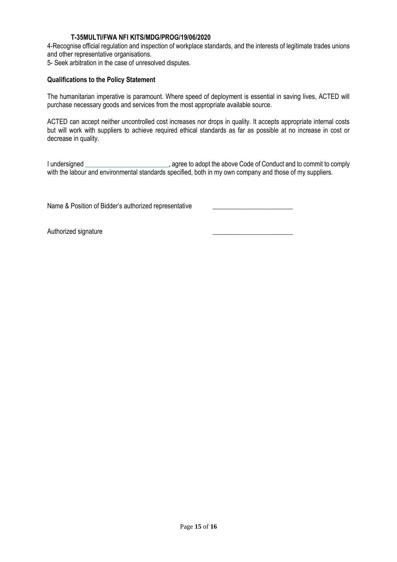4-Recognise official regulation and inspection of workplace standards, and the interests of legitimate trades unions and other representative organisations.

5- Seek arbitration in the case of unresolved disputes.

## **Qualifications to the Policy Statement**

The humanitarian imperative is paramount. Where speed of deployment is essential in saving lives, ACTED will purchase necessary goods and services from the most appropriate available source.

ACTED can accept neither uncontrolled cost increases nor drops in quality. It accepts appropriate internal costs but will work with suppliers to achieve required ethical standards as far as possible at no increase in cost or decrease in quality.

I undersigned \_\_\_\_\_\_\_\_\_\_\_\_\_\_\_\_\_\_\_\_\_\_\_\_\_, agree to adopt the above Code of Conduct and to commit to comply with the labour and environmental standards specified, both in my own company and those of my suppliers.

Name & Position of Bidder's authorized representative

Authorized signature